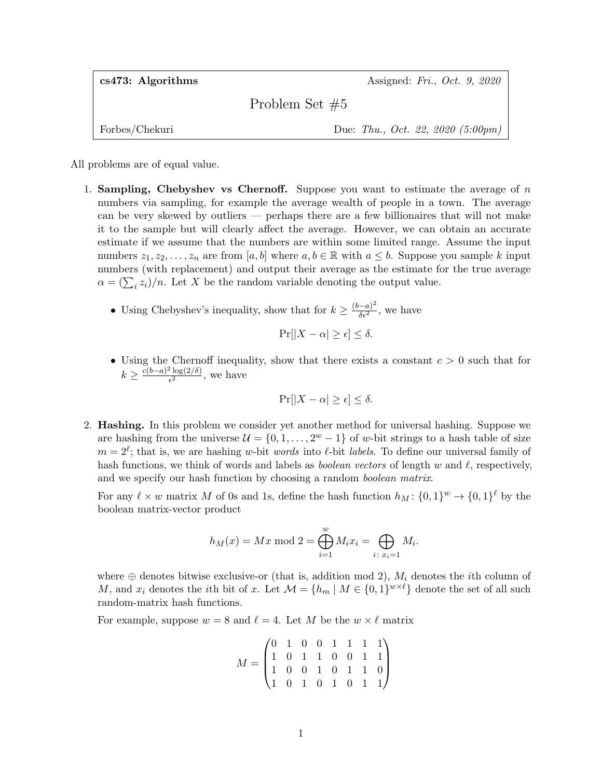| $cs473:$ Algorithms | Assigned: Fri., Oct. 9, $2020$              |
|---------------------|---------------------------------------------|
|                     | Problem Set $#5$                            |
| Forbes/Chekuri      | Due: Thu., Oct. 22, 2020 $(5:00 \text{pm})$ |

All problems are of equal value.

- 1. Sampling, Chebyshev vs Chernoff. Suppose you want to estimate the average of  $n$ numbers via sampling, for example the average wealth of people in a town. The average can be very skewed by outliers — perhaps there are a few billionaires that will not make it to the sample but will clearly affect the average. However, we can obtain an accurate estimate if we assume that the numbers are within some limited range. Assume the input numbers  $z_1, z_2, \ldots, z_n$  are from [a, b] where  $a, b \in \mathbb{R}$  with  $a \leq b$ . Suppose you sample k input numbers (with replacement) and output their average as the estimate for the true average  $\alpha = (\sum_i z_i)/n$ . Let X be the random variable denoting the output value.
	- Using Chebyshev's inequality, show that for  $k \geq \frac{(b-a)^2}{\delta \epsilon^2}$ , we have

$$
\Pr[|X - \alpha| \ge \epsilon] \le \delta.
$$

• Using the Chernoff inequality, show that there exists a constant  $c > 0$  such that for  $k \geq \frac{c(b-a)^2 \log(2/\delta)}{\epsilon^2}$  $\frac{\log(2/\delta)}{\epsilon^2}$ , we have

$$
\Pr[|X - \alpha| \ge \epsilon] \le \delta.
$$

2. Hashing. In this problem we consider yet another method for universal hashing. Suppose we are hashing from the universe  $\mathcal{U} = \{0, 1, \ldots, 2^w - 1\}$  of w-bit strings to a hash table of size  $m = 2^{\ell}$ ; that is, we are hashing w-bit words into  $\ell$ -bit labels. To define our universal family of hash functions, we think of words and labels as *boolean vectors* of length w and  $\ell$ , respectively, and we specify our hash function by choosing a random boolean matrix.

For any  $\ell \times w$  matrix M of 0s and 1s, define the hash function  $h_M: \{0,1\}^w \to \{0,1\}^{\ell}$  by the boolean matrix-vector product

$$
h_M(x) = Mx \mod 2 = \bigoplus_{i=1}^{w} M_i x_i = \bigoplus_{i \colon x_i = 1} M_i.
$$

where  $\oplus$  denotes bitwise exclusive-or (that is, addition mod 2),  $M_i$  denotes the *i*th column of M, and  $x_i$  denotes the *i*th bit of x. Let  $\mathcal{M} = \{h_m \mid M \in \{0,1\}^{w \times \ell}\}\$  denote the set of all such random-matrix hash functions.

For example, suppose  $w = 8$  and  $\ell = 4$ . Let M be the  $w \times \ell$  matrix

$$
M = \begin{pmatrix} 0 & 1 & 0 & 0 & 1 & 1 & 1 & 1 \\ 1 & 0 & 1 & 1 & 0 & 0 & 1 & 1 \\ 1 & 0 & 0 & 1 & 0 & 1 & 1 & 0 \\ 1 & 0 & 1 & 0 & 1 & 0 & 1 & 1 \end{pmatrix}
$$